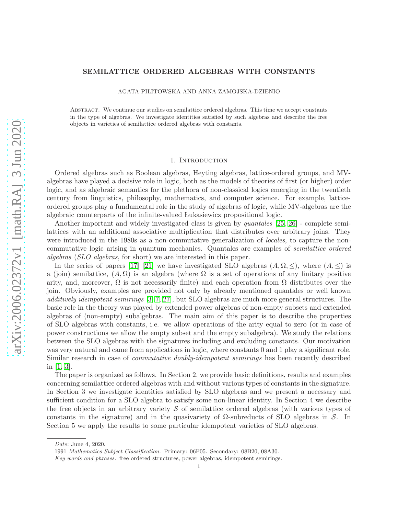#### SEMILATTICE ORDERED ALGEBRAS WITH CONSTANTS

AGATA PILITOWSKA AND ANNA ZAMOJSKA-DZIENIO

Abstract. We continue our studies on semilattice ordered algebras. This time we accept constants in the type of algebras. We investigate identities satisfied by such algebras and describe the free objects in varieties of semilattice ordered algebras with constants.

#### 1. INTRODUCTION

Ordered algebras such as Boolean algebras, Heyting algebras, lattice-ordered groups, and MValgebras have played a decisive role in logic, both as the models of theories of first (or higher) order logic, and as algebraic semantics for the plethora of non-classical logics emerging in the twentieth century from linguistics, philosophy, mathematics, and computer science. For example, latticeordered groups play a fundamental role in the study of algebras of logic, while MV-algebras are the algebraic counterparts of the infinite-valued Lukasiewicz propositional logic.

Another important and widely investigated class is given by quantales [\[25,](#page-13-0) [26\]](#page-13-1) - complete semilattices with an additional associative multiplication that distributes over arbitrary joins. They were introduced in the 1980s as a non-commutative generalization of *locales*, to capture the noncommutative logic arising in quantum mechanics. Quantales are examples of semilattice ordered algebras (SLO algebras, for short) we are interested in this paper.

In the series of papers  $[17]-[21]$  $[17]-[21]$  we have investigated SLO algebras  $(A, \Omega, \leq)$ , where  $(A, \leq)$  is a (join) semilattice,  $(A, \Omega)$  is an algebra (where  $\Omega$  is a set of operations of any finitary positive arity, and, moreover,  $\Omega$  is not necessarily finite) and each operation from  $\Omega$  distributes over the join. Obviously, examples are provided not only by already mentioned quantales or well known additively idempotent semirings [\[3,](#page-13-4) [7,](#page-13-5) [27\]](#page-13-6), but SLO algebras are much more general structures. The basic role in the theory was played by extended power algebras of non-empty subsets and extended algebras of (non-empty) subalgebras. The main aim of this paper is to describe the properties of SLO algebras with constants, i.e. we allow operations of the arity equal to zero (or in case of power constructions we allow the empty subset and the empty subalgebra). We study the relations between the SLO algebras with the signatures including and excluding constants. Our motivation was very natural and came from applications in logic, where constants 0 and 1 play a significant role. Similar research in case of commutative doubly-idempotent semirings has been recently described in [\[1,](#page-12-0) [3\]](#page-13-4).

The paper is organized as follows. In Section 2, we provide basic definitions, results and examples concerning semilattice ordered algebras with and without various types of constants in the signature. In Section 3 we investigate identities satisfied by SLO algebras and we present a necessary and sufficient condition for a SLO algebra to satisfy some non-linear identity. In Section 4 we describe the free objects in an arbitrary variety  $\mathcal S$  of semilattice ordered algebras (with various types of constants in the signature) and in the quasivariety of  $\Omega$ -subreducts of SLO algebras in S. In Section 5 we apply the results to some particular idempotent varieties of SLO algebras.

*Date*: June 4, 2020.

<sup>1991</sup> *Mathematics Subject Classification.* Primary: 06F05. Secondary: 08B20, 08A30.

*Key words and phrases.* free ordered structures, power algebras, idempotent semirings.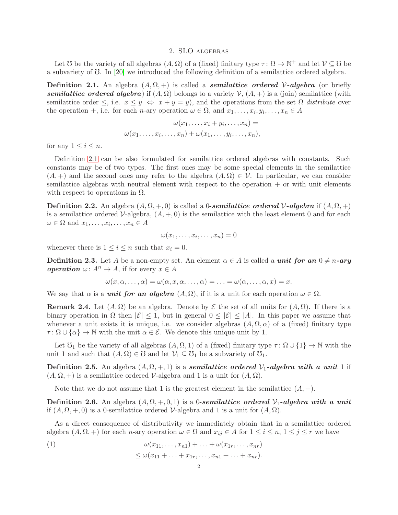#### 2. SLO algebras

Let U be the variety of all algebras  $(A, \Omega)$  of a (fixed) finitary type  $\tau : \Omega \to \mathbb{N}^+$  and let  $\mathcal{V} \subseteq \mathcal{U}$  be a subvariety of  $\ddot{\Omega}$ . In [\[20\]](#page-13-7) we introduced the following definition of a semilattice ordered algebra.

<span id="page-1-0"></span>**Definition 2.1.** An algebra  $(A, \Omega, +)$  is called a *semilattice ordered V-algebra* (or briefly semilattice ordered algebra) if  $(A, \Omega)$  belongs to a variety  $\mathcal{V}, (A,+)$  is a (join) semilattice (with semilattice order  $\leq$ , i.e.  $x \leq y \Leftrightarrow x + y = y$ , and the operations from the set  $\Omega$  distribute over the operation +, i.e. for each *n*-ary operation  $\omega \in \Omega$ , and  $x_1, \ldots, x_i, y_i, \ldots, x_n \in A$ 

$$
\omega(x_1,\ldots,x_i+y_i,\ldots,x_n) =
$$
  

$$
\omega(x_1,\ldots,x_i,\ldots,x_n) + \omega(x_1,\ldots,y_i,\ldots,x_n),
$$

for any  $1 \leq i \leq n$ .

Definition [2.1](#page-1-0) can be also formulated for semilattice ordered algebras with constants. Such constants may be of two types. The first ones may be some special elements in the semilattice  $(A, +)$  and the second ones may refer to the algebra  $(A, \Omega) \in \mathcal{V}$ . In particular, we can consider semilattice algebras with neutral element with respect to the operation  $+$  or with unit elements with respect to operations in  $\Omega$ .

**Definition 2.2.** An algebra  $(A, \Omega, +, 0)$  is called a 0-semilattice ordered V-algebra if  $(A, \Omega, +)$ is a semilattice ordered  $\mathcal V$ -algebra,  $(A, +, 0)$  is the semilattice with the least element 0 and for each  $\omega \in \Omega$  and  $x_1, \ldots, x_i, \ldots, x_n \in A$ 

$$
\omega(x_1,\ldots,x_i,\ldots,x_n)=0
$$

whenever there is  $1 \leq i \leq n$  such that  $x_i = 0$ .

**Definition 2.3.** Let A be a non-empty set. An element  $\alpha \in A$  is called a *unit for an*  $0 \neq n$ -*ary* **operation**  $\omega: A^n \to A$ , if for every  $x \in A$ 

$$
\omega(x, \alpha, \ldots, \alpha) = \omega(\alpha, x, \alpha, \ldots, \alpha) = \ldots = \omega(\alpha, \ldots, \alpha, x) = x.
$$

We say that  $\alpha$  is a *unit for an algebra*  $(A, \Omega)$ , if it is a unit for each operation  $\omega \in \Omega$ .

**Remark 2.4.** Let  $(A, \Omega)$  be an algebra. Denote by  $\mathcal{E}$  the set of all units for  $(A, \Omega)$ . If there is a binary operation in  $\Omega$  then  $|\mathcal{E}| \leq 1$ , but in general  $0 \leq |\mathcal{E}| \leq |A|$ . In this paper we assume that whenever a unit exists it is unique, i.e. we consider algebras  $(A, \Omega, \alpha)$  of a (fixed) finitary type  $\tau : \Omega \cup \{\alpha\} \to \mathbb{N}$  with the unit  $\alpha \in \mathcal{E}$ . We denote this unique unit by 1.

Let  $\mathcal{U}_1$  be the variety of all algebras  $(A, \Omega, 1)$  of a (fixed) finitary type  $\tau : \Omega \cup \{1\} \to \mathbb{N}$  with the unit 1 and such that  $(A, \Omega) \in \mathcal{O}$  and let  $\mathcal{V}_1 \subseteq \mathcal{O}_1$  be a subvariety of  $\mathcal{O}_1$ .

Definition 2.5. An algebra  $(A, \Omega, +, 1)$  is a semilattice ordered  $\mathcal{V}_1$ -algebra with a unit 1 if  $(A, \Omega, +)$  is a semilattice ordered V-algebra and 1 is a unit for  $(A, \Omega)$ .

Note that we do not assume that 1 is the greatest element in the semilattice  $(A, +)$ .

Definition 2.6. An algebra  $(A, \Omega, +, 0, 1)$  is a 0-semilattice ordered  $\mathcal{V}_1$ -algebra with a unit if  $(A, \Omega, +, 0)$  is a 0-semilattice ordered V-algebra and 1 is a unit for  $(A, \Omega)$ .

As a direct consequence of distributivity we immediately obtain that in a semilattice ordered algebra  $(A, \Omega, +)$  for each *n*-ary operation  $\omega \in \Omega$  and  $x_{ij} \in A$  for  $1 \le i \le n, 1 \le j \le r$  we have

(1) 
$$
\omega(x_{11},...,x_{n1}) + ... + \omega(x_{1r},...,x_{nr}) \leq \omega(x_{11} + ... + x_{1r},...,x_{n1} + ... + x_{nr}).
$$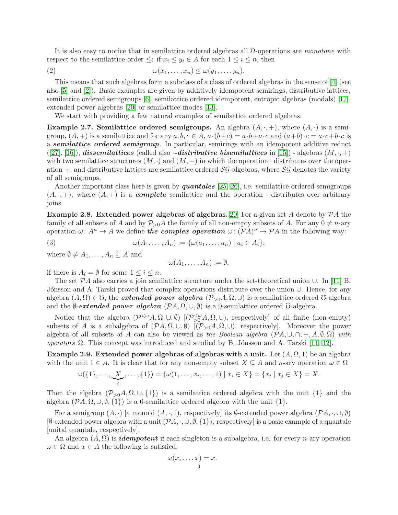It is also easy to notice that in semilattice ordered algebras all  $\Omega$ -operations are monotone with respect to the semilattice order  $\leq$ : if  $x_i \leq y_i \in A$  for each  $1 \leq i \leq n$ , then

(2) 
$$
\omega(x_1,\ldots,x_n)\leq \omega(y_1,\ldots,y_n).
$$

This means that such algebras form a subclass of a class of ordered algebras in the sense of [\[4\]](#page-13-8) (see also [\[5\]](#page-13-9) and [\[2\]](#page-12-1)). Basic examples are given by additively idempotent semirings, distributive lattices, semilattice ordered semigroups [\[6\]](#page-13-10), semilattice ordered idempotent, entropic algebras (modals) [\[17\]](#page-13-2), extended power algebras [\[20\]](#page-13-7) or semilattice modes [\[13\]](#page-13-11).

We start with providing a few natural examples of semilattice ordered algebras.

**Example 2.7. Semilattice ordered semigroups.** An algebra  $(A, \cdot, +)$ , where  $(A, \cdot)$  is a semigroup,  $(A,+)$  is a semilattice and for any  $a, b, c \in A$ ,  $a \cdot (b+c) = a \cdot b + a \cdot c$  and  $(a+b) \cdot c = a \cdot c + b \cdot c$  is a semilattice ordered semigroup. In particular, semirings with an idempotent additive reduct  $([27], [16])$  $([27], [16])$  $([27], [16])$  $([27], [16])$  $([27], [16])$ , dissemilattices (called also *-distributive bisemilattices* in [\[15\]](#page-13-13)) - algebras  $(M, \cdot, +)$ with two semilattice structures  $(M, \cdot)$  and  $(M, +)$  in which the operation  $\cdot$  distributes over the operation  $+$ , and distributive lattices are semilattice ordered  $S\mathcal{G}$ -algebras, where  $S\mathcal{G}$  denotes the variety of all semigroups.

Another important class here is given by **quantales** [\[25,](#page-13-0) [26\]](#page-13-1), i.e. semilattice ordered semigroups  $(A, \cdot, +)$ , where  $(A, +)$  is a *complete* semilattice and the operation  $\cdot$  distributes over arbitrary joins.

**Example 2.8. Extended power algebras of algebras.**[\[20\]](#page-13-7) For a given set A denote by  $\mathcal{P}A$  the family of all subsets of A and by  $P_{>0}A$  the family of all non-empty subsets of A. For any  $0 \neq n$ -ary operation  $\omega: A^n \to A$  we define **the complex operation**  $\omega: (\mathcal{P}A)^n \to \mathcal{P}A$  in the following way:

(3) 
$$
\omega(A_1,\ldots,A_n):=\{\omega(a_1,\ldots,a_n)\mid a_i\in A_i\},\
$$

where  $\emptyset \neq A_1, \ldots, A_n \subseteq A$  and

<span id="page-2-0"></span>
$$
\omega(A_1,\ldots,A_n):=\emptyset,
$$

if there is  $A_i = \emptyset$  for some  $1 \leq i \leq n$ .

The set PA also carries a join semilattice structure under the set-theoretical union ∪. In [\[11\]](#page-13-14) B. J´onsson and A. Tarski proved that complex operations distribute over the union ∪. Hence, for any algebra  $(A, \Omega) \in \mathcal{O}$ , the *extended power algebra*  $(\mathcal{P}_{>0}A, \Omega, \cup)$  is a semilattice ordered  $\mathcal{O}_{\geq}$ -algebra and the  $\emptyset$ -extended power algebra  $(\mathcal{P}A, \Omega, \cup, \emptyset)$  is a 0-semilattice ordered  $\emptyset$ -algebra.

Notice that the algebra  $(\mathcal{P}^{<\omega}A,\Omega,\cup,\emptyset)$   $[(\mathcal{P}^{<\omega}_{>0}A,\Omega,\cup),$  respectively] of all finite (non-empty) subsets of A is a subalgebra of  $(\mathcal{P}A,\Omega,\cup,\emptyset)$   $[(\mathcal{P}_{>0}A,\Omega,\cup)$ , respectively]. Moreover the power algebra of all subsets of A can also be viewed as the Boolean algebra  $(\mathcal{P}A, \cup, \cap, -, A, \emptyset, \Omega)$  with *operators*  $Ω$ . This concept was introduced and studied by B. Jónsson and A. Tarski [\[11,](#page-13-14) [12\]](#page-13-15).

Example 2.9. Extended power algebras of algebras with a unit. Let  $(A, \Omega, 1)$  be an algebra with the unit  $1 \in A$ . It is clear that for any non-empty subset  $X \subseteq A$  and n-ary operation  $\omega \in \Omega$ 

$$
\omega({1},\ldots,\underbrace{X}_{i},\ldots,{1}) = {\omega(1,\ldots,x_{i},\ldots,1) | x_{i} \in X} = {x_{i} | x_{i} \in X} = X.
$$

Then the algebra  $(\mathcal{P}_{>0}A, \Omega, \cup, \{1\})$  is a semilattice ordered algebra with the unit  $\{1\}$  and the algebra  $(\mathcal{P}A, \Omega, \cup, \emptyset, \{1\})$  is a 0-semilattice ordered algebra with the unit  $\{1\}$ .

For a semigroup  $(A, \cdot)$  [a monoid  $(A, \cdot, 1)$ , respectively] its  $\emptyset$ -extended power algebra  $(\mathcal{P}A, \cdot, \cup, \emptyset)$  $[\emptyset$ -extended power algebra with a unit  $(\mathcal{P}A, \cdot, \cup, \emptyset, \{1\})$ , respectively] is a basic example of a quantale [unital quantale, respectively].

An algebra  $(A, \Omega)$  is *idempotent* if each singleton is a subalgebra, i.e. for every *n*-ary operation  $\omega \in \Omega$  and  $x \in A$  the following is satisfied:

$$
\omega(x,\ldots,x)=x.
$$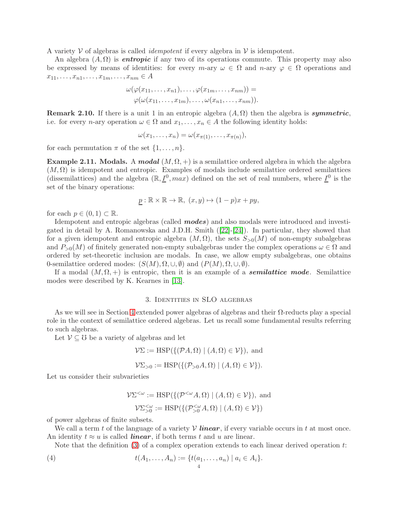A variety  $\mathcal V$  of algebras is called *idempotent* if every algebra in  $\mathcal V$  is idempotent.

An algebra  $(A, \Omega)$  is **entropic** if any two of its operations commute. This property may also be expressed by means of identities: for every  $m$ -ary  $\omega \in \Omega$  and  $n$ -ary  $\varphi \in \Omega$  operations and  $x_{11}, \ldots, x_{n1}, \ldots, x_{1m}, \ldots, x_{nm} \in A$ 

$$
\omega(\varphi(x_{11},\ldots,x_{n1}),\ldots,\varphi(x_{1m},\ldots,x_{nm})) =
$$

$$
\varphi(\omega(x_{11},\ldots,x_{1m}),\ldots,\omega(x_{n1},\ldots,x_{nm})).
$$

**Remark 2.10.** If there is a unit 1 in an entropic algebra  $(A, \Omega)$  then the algebra is *symmetric*, i.e. for every *n*-ary operation  $\omega \in \Omega$  and  $x_1, \ldots, x_n \in A$  the following identity holds:

$$
\omega(x_1,\ldots,x_n)=\omega(x_{\pi(1)},\ldots,x_{\pi(n)}),
$$

for each permutation  $\pi$  of the set  $\{1, \ldots, n\}$ .

Example 2.11. Modals. A modal  $(M, \Omega, +)$  is a semilattice ordered algebra in which the algebra  $(M, \Omega)$  is idempotent and entropic. Examples of modals include semilattice ordered semilattices (dissemilattices) and the algebra  $(\mathbb{R}, \underline{I}^0, \text{max})$  defined on the set of real numbers, where  $\underline{I}^0$  is the set of the binary operations:

$$
p: \mathbb{R} \times \mathbb{R} \to \mathbb{R}, (x, y) \mapsto (1 - p)x + py,
$$

for each  $p \in (0,1) \subset \mathbb{R}$ .

Idempotent and entropic algebras (called modes) and also modals were introduced and investigated in detail by A. Romanowska and J.D.H. Smith([\[22\]](#page-13-16)-[\[24\]](#page-13-17)). In particular, they showed that for a given idempotent and entropic algebra  $(M, \Omega)$ , the sets  $S_{>0}(M)$  of non-empty subalgebras and  $P_{>0}(M)$  of finitely generated non-empty subalgebras under the complex operations  $\omega \in \Omega$  and ordered by set-theoretic inclusion are modals. In case, we allow empty subalgebras, one obtains 0-semilattice ordered modes:  $(S(M), \Omega, \cup, \emptyset)$  and  $(P(M), \Omega, \cup, \emptyset)$ .

If a modal  $(M, \Omega, +)$  is entropic, then it is an example of a **semilattice mode**. Semilattice modes were described by K. Kearnes in [\[13\]](#page-13-11).

### 3. Identities in SLO algebras

As we will see in Section [4](#page-7-0) extended power algebras of algebras and their  $\Omega$ -reducts play a special role in the context of semilattice ordered algebras. Let us recall some fundamental results referring to such algebras.

Let  $V \subset U$  be a variety of algebras and let

$$
\mathcal{V}\Sigma := \text{HSP}(\{(\mathcal{P}A,\Omega) \mid (A,\Omega) \in \mathcal{V}\}), \text{ and}
$$

$$
\mathcal{V}\Sigma_{>0} := \text{HSP}(\{(\mathcal{P}_{>0}A,\Omega) \mid (A,\Omega) \in \mathcal{V}\}).
$$

Let us consider their subvarieties

$$
\mathcal{V}\Sigma^{\leq \omega} := \text{HSP}\left(\{(\mathcal{P}^{<\omega}A,\Omega) \mid (A,\Omega) \in \mathcal{V}\}\right), \text{ and}
$$

$$
\mathcal{V}\Sigma^{\leq \omega}_{>0} := \text{HSP}\left(\{(\mathcal{P}^{<\omega}_{>0}A,\Omega) \mid (A,\Omega) \in \mathcal{V}\}\right)
$$

of power algebras of finite subsets.

We call a term t of the language of a variety  $V$  linear, if every variable occurs in t at most once. An identity  $t \approx u$  is called *linear*, if both terms t and u are linear.

Note that the definition  $(3)$  of a complex operation extends to each linear derived operation t:

(4) 
$$
t(A_1, ..., A_n) := \{t(a_1, ..., a_n) \mid a_i \in A_i\}.
$$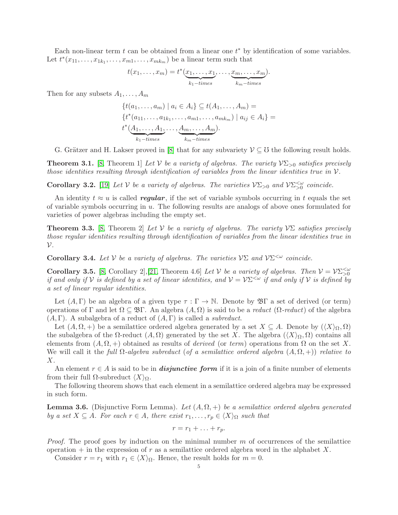Each non-linear term  $t$  can be obtained from a linear one  $t^*$  by identification of some variables. Let  $t^*(x_{11},...,x_{1k_1},...,x_{m1},...,x_{mk_m})$  be a linear term such that

$$
t(x_1,\ldots,x_m)=t^*(\underbrace{x_1,\ldots,x_1}_{k_1-times},\ldots,\underbrace{x_m,\ldots,x_m}_{k_m-times}).
$$

Then for any subsets  $A_1, \ldots, A_m$ 

$$
\{t(a_1,\ldots,a_m) \mid a_i \in A_i\} \subseteq t(A_1,\ldots,A_m) =
$$
  

$$
\{t^*(a_{11},\ldots,a_{1k_1},\ldots,a_{m1},\ldots,a_{mk_m}) \mid a_{ij} \in A_i\} =
$$
  

$$
t^*(\underbrace{A_1,\ldots,A_1}_{k_1-times},\ldots,\underbrace{A_m,\ldots,A_m}_{k_m-times}).
$$

G. Grätzer and H. Lakser proved in [\[8\]](#page-13-18) that for any subvariety  $\mathcal{V} \subseteq \mathcal{V}$  the following result holds.

<span id="page-4-2"></span>**Theorem 3.1.** [\[8,](#page-13-18) Theorem 1] Let V be a variety of algebras. The variety  $V\Sigma_{>0}$  satisfies precisely those identities resulting through identification of variables from the linear identities true in  $\mathcal V$ .

<span id="page-4-3"></span>**Corollary 3.2.** [\[19\]](#page-13-19) Let V be a variety of algebras. The varieties  $\mathcal{V}\Sigma_{>0}$  and  $\mathcal{V}\Sigma_{>0}^{\leq \omega}$  coincide.

An identity  $t \approx u$  is called regular, if the set of variable symbols occurring in t equals the set of variable symbols occurring in  $u$ . The following results are analogs of above ones formulated for varieties of power algebras including the empty set.

**Theorem 3.3.** [\[8,](#page-13-18) Theorem 2] Let V be a variety of algebras. The variety  $V\Sigma$  satisfies precisely those regular identities resulting through identification of variables from the linear identities true in  $\mathcal{V}.$ 

**Corollary 3.4.** Let V be a variety of algebras. The varieties  $V\Sigma$  and  $V\Sigma^{\langle\omega\rangle}$  coincide.

<span id="page-4-1"></span>**Corollary 3.5.** [\[8,](#page-13-18) Corollary 2], [\[21,](#page-13-3) Theorem 4.6] Let V be a variety of algebras. Then  $V = V\Sigma_{>0}^{< \omega}$ if and only if V is defined by a set of linear identities, and  $V = V\Sigma^{\langle \omega \rangle}$  if and only if V is defined by a set of linear regular identities.

Let  $(A, \Gamma)$  be an algebra of a given type  $\tau : \Gamma \to \mathbb{N}$ . Denote by  $\mathfrak{B} \Gamma$  a set of derived (or term) operations of Γ and let  $\Omega \subseteq \mathfrak{B} \Gamma$ . An algebra  $(A, \Omega)$  is said to be a *reduct* ( $\Omega$ -reduct) of the algebra  $(A, \Gamma)$ . A subalgebra of a reduct of  $(A, \Gamma)$  is called a *subreduct*.

Let  $(A, \Omega, +)$  be a semilattice ordered algebra generated by a set  $X \subseteq A$ . Denote by  $(\langle X \rangle_{\Omega}, \Omega)$ the subalgebra of the  $\Omega$ -reduct  $(A, \Omega)$  generated by the set X. The algebra  $(\langle X \rangle_{\Omega}, \Omega)$  contains all elements from  $(A, \Omega, +)$  obtained as results of *derived* (or term) operations from  $\Omega$  on the set X. We will call it the full  $\Omega$ -algebra subreduct (of a semilattice ordered algebra  $(A, \Omega, +)$ ) relative to X.

An element  $r \in A$  is said to be in *disjunctive form* if it is a join of a finite number of elements from their full  $\Omega$ -subreduct  $\langle X \rangle_{\Omega}$ .

The following theorem shows that each element in a semilattice ordered algebra may be expressed in such form.

<span id="page-4-0"></span>**Lemma 3.6.** (Disjunctive Form Lemma). Let  $(A, \Omega, +)$  be a semilattice ordered algebra generated by a set  $X \subseteq A$ . For each  $r \in A$ , there exist  $r_1, \ldots, r_p \in \langle X \rangle_{\Omega}$  such that

$$
r = r_1 + \ldots + r_p.
$$

*Proof.* The proof goes by induction on the minimal number  $m$  of occurrences of the semilattice operation  $+$  in the expression of r as a semilattice ordered algebra word in the alphabet X.

Consider  $r = r_1$  with  $r_1 \in \langle X \rangle_{\Omega}$ . Hence, the result holds for  $m = 0$ .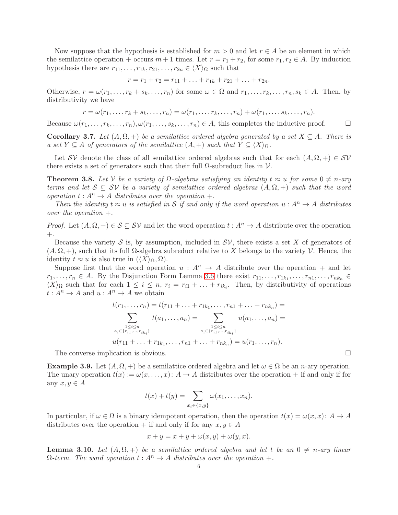Now suppose that the hypothesis is established for  $m > 0$  and let  $r \in A$  be an element in which the semilattice operation + occurs  $m+1$  times. Let  $r = r_1 + r_2$ , for some  $r_1, r_2 \in A$ . By induction hypothesis there are  $r_{11}, \ldots, r_{1k}, r_{21}, \ldots, r_{2n} \in \langle X \rangle_{\Omega}$  such that

 $r = r_1 + r_2 = r_{11} + \ldots + r_{1k} + r_{21} + \ldots + r_{2n}$ .

Otherwise,  $r = \omega(r_1, \ldots, r_k + s_k, \ldots, r_n)$  for some  $\omega \in \Omega$  and  $r_1, \ldots, r_k, \ldots, r_n, s_k \in A$ . Then, by distributivity we have

$$
r = \omega(r_1,\ldots,r_k+s_k,\ldots,r_n) = \omega(r_1,\ldots,r_k,\ldots,r_n) + \omega(r_1,\ldots,s_k,\ldots,r_n).
$$

Because  $\omega(r_1,\ldots,r_k,\ldots,r_n), \omega(r_1,\ldots,s_k,\ldots,r_n) \in A$ , this completes the inductive proof.  $\square$ 

**Corollary 3.7.** Let  $(A, \Omega, +)$  be a semilattice ordered algebra generated by a set  $X \subseteq A$ . There is a set  $Y \subseteq A$  of generators of the semilattice  $(A,+)$  such that  $Y \subseteq \langle X \rangle_{\Omega}$ .

Let  $\mathcal{SV}$  denote the class of all semilattice ordered algebras such that for each  $(A, \Omega, +) \in \mathcal{SV}$ there exists a set of generators such that their full  $\Omega$ -subreduct lies in  $\mathcal V$ .

**Theorem 3.8.** Let V be a variety of  $\Omega$ -algebras satisfying an identity  $t \approx u$  for some  $0 \neq n$ -ary terms and let  $S \subseteq SV$  be a variety of semilattice ordered algebras  $(A, \Omega, +)$  such that the word operation  $t: A^n \to A$  distributes over the operation  $+$ .

Then the identity  $t \approx u$  is satisfied in S if and only if the word operation  $u : A^n \to A$  distributes over the operation  $+$ .

*Proof.* Let  $(A, \Omega, +) \in \mathcal{S} \subseteq \mathcal{SV}$  and let the word operation  $t : A^n \to A$  distribute over the operation  $+$ .

Because the variety S is, by assumption, included in  $SV$ , there exists a set X of generators of  $(A, \Omega, +)$ , such that its full  $\Omega$ -algebra subreduct relative to X belongs to the variety V. Hence, the identity  $t \approx u$  is also true in  $(\langle X \rangle_{\Omega}, \Omega)$ .

Suppose first that the word operation  $u : A^n \to A$  distribute over the operation + and let  $r_1, \ldots, r_n \in A$ . By the Disjunction Form Lemma [3.6](#page-4-0) there exist  $r_{11}, \ldots, r_{1k_1}, \ldots, r_{n1}, \ldots, r_{nk_n} \in A$ .  $\langle X \rangle_{\Omega}$  such that for each  $1 \leq i \leq n$ ,  $r_i = r_{i1} + \ldots + r_{ik_i}$ . Then, by distributivity of operations  $t: A^n \to A$  and  $u: A^n \to A$  we obtain

$$
t(r_1, \ldots, r_n) = t(r_{11} + \ldots + r_{1k_1}, \ldots, r_{n1} + \ldots + r_{nk_n}) =
$$
  

$$
\sum_{\substack{1 \leq i \leq n \\ a_i \in \{r_{i1}, \ldots, r_{ik_i}\}}} t(a_1, \ldots, a_n) = \sum_{\substack{1 \leq i \leq n \\ a_i \in \{r_{i1}, \ldots, r_{ik_i}\}}} u(a_1, \ldots, a_n) =
$$
  

$$
u(r_{11} + \ldots + r_{1k_1}, \ldots, r_{n1} + \ldots + r_{nk_n}) = u(r_1, \ldots, r_n).
$$

The converse implication is obvious.

**Example 3.9.** Let  $(A, \Omega, +)$  be a semilattice ordered algebra and let  $\omega \in \Omega$  be an *n*-ary operation. The unary operation  $t(x) := \omega(x, \ldots, x) : A \to A$  distributes over the operation + if and only if for any  $x, y \in A$ 

$$
t(x) + t(y) = \sum_{x_i \in \{x,y\}} \omega(x_1,\ldots,x_n).
$$

In particular, if  $\omega \in \Omega$  is a binary idempotent operation, then the operation  $t(x) = \omega(x, x) : A \to A$ distributes over the operation + if and only if for any  $x, y \in A$ 

$$
x + y = x + y + \omega(x, y) + \omega(y, x).
$$

**Lemma 3.10.** Let  $(A, \Omega, +)$  be a semilattice ordered algebra and let t be an  $0 \neq n$ -ary linear  $\Omega$ -term. The word operation  $t: A^n \to A$  distributes over the operation  $+$ .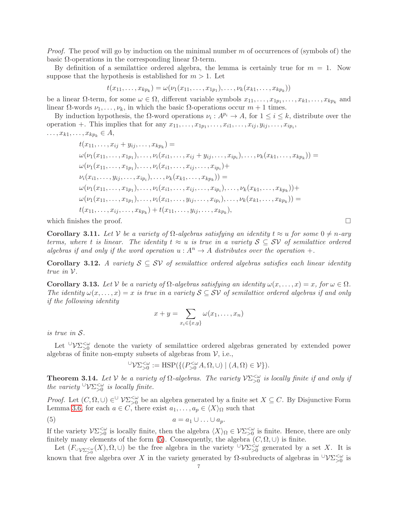*Proof.* The proof will go by induction on the minimal number m of occurrences of (symbols of) the basic  $\Omega$ -operations in the corresponding linear  $\Omega$ -term.

By definition of a semilattice ordered algebra, the lemma is certainly true for  $m = 1$ . Now suppose that the hypothesis is established for  $m > 1$ . Let

$$
t(x_{11},\ldots,x_{kp_k})=\omega(\nu_1(x_{11},\ldots,x_{1p_1}),\ldots,\nu_k(x_{k1},\ldots,x_{kp_k}))
$$

be a linear  $\Omega$ -term, for some  $\omega \in \Omega$ , different variable symbols  $x_{11}, \ldots, x_{1p_1}, \ldots, x_{k1}, \ldots, x_{kp_k}$  and linear  $\Omega$ -words  $\nu_1, \ldots, \nu_k$ , in which the basic  $\Omega$ -operations occur  $m + 1$  times.

By induction hypothesis, the  $\Omega$ -word operations  $\nu_i: A^{p_i} \to A$ , for  $1 \leq i \leq k$ , distribute over the operation +. This implies that for any  $x_{11}, \ldots, x_{1p_1}, \ldots, x_{i1}, \ldots, x_{ij}, y_{ij}, \ldots, x_{ip_i}$ ,  $\ldots, x_{k1}, \ldots, x_{kp_k} \in A$ ,

$$
t(x_{11},...,x_{ij}+y_{ij},...,x_{kp_k}) =
$$
  
\n
$$
\omega(\nu_1(x_{11},...,x_{1p_1}),..., \nu_i(x_{i1},...,x_{ij}+y_{ij},...,x_{ip_i}),..., \nu_k(x_{k1},...,x_{kp_k})) =
$$
  
\n
$$
\omega(\nu_1(x_{11},...,x_{1p_1}),..., \nu_i(x_{i1},...,x_{ij},...,x_{ip_i}) +
$$
  
\n
$$
\nu_i(x_{i1},...,y_{ij},...,x_{ip_i}),..., \nu_k(x_{k1},...,x_{kp_k})) =
$$
  
\n
$$
\omega(\nu_1(x_{11},...,x_{1p_1}),..., \nu_i(x_{i1},...,x_{ij},...,x_{ip_i}),..., \nu_k(x_{k1},...,x_{kp_k})) +
$$
  
\n
$$
\omega(\nu_1(x_{11},...,x_{1p_1}),..., \nu_i(x_{i1},...,y_{ij},...,x_{ip_i}),..., \nu_k(x_{k1},...,x_{kp_k})) =
$$
  
\n
$$
t(x_{11},...,x_{ij},...,x_{kp_k}) + t(x_{11},...,y_{ij},...,x_{kp_k}),
$$

which finishes the proof.  $\Box$ 

Corollary 3.11. Let V be a variety of  $\Omega$ -algebras satisfying an identity  $t \approx u$  for some  $0 \neq n$ -ary terms, where t is linear. The identity  $t \approx u$  is true in a variety  $S \subseteq SV$  of semilattice ordered algebras if and only if the word operation  $u : A^n \to A$  distributes over the operation  $+$ .

**Corollary 3.12.** A variety  $S \subseteq SV$  of semilattice ordered algebras satisfies each linear identity true in V.

**Corollary 3.13.** Let V be a variety of  $\Omega$ -algebras satisfying an identity  $\omega(x, \ldots, x) = x$ , for  $\omega \in \Omega$ . The identity  $\omega(x,\ldots,x) = x$  is true in a variety  $S \subseteq SV$  of semilattice ordered algebras if and only if the following identity

$$
x + y = \sum_{x_i \in \{x, y\}} \omega(x_1, \dots, x_n)
$$

is true in S.

Let  $\cup V^{\leq \omega}_{>0}$  denote the variety of semilattice ordered algebras generated by extended power algebras of finite non-empty subsets of algebras from  $\mathcal{V}$ , i.e.,

<span id="page-6-0"></span>
$$
\cup_{\mathcal{V}\Sigma^{<\omega}_{>0}} := \text{HSP}(\{(P_{>0}^{<\omega}A, \Omega, \cup) \mid (A, \Omega) \in \mathcal{V}\}).
$$

<span id="page-6-1"></span>**Theorem 3.14.** Let  $V$  be a variety of  $\Omega$ -algebras. The variety  $V^{\leq\omega}_{>0}$  is locally finite if and only if the variety  $\cup \mathcal{V}^{\leq \omega}_{>0}$  is locally finite.

*Proof.* Let  $(C, \Omega, \cup) \in U$   $V\Sigma_{>0}^{<\omega}$  be an algebra generated by a finite set  $X \subseteq C$ . By Disjunctive Form Lemma [3.6,](#page-4-0) for each  $a \in C$ , there exist  $a_1, \ldots, a_p \in \langle X \rangle_{\Omega}$  such that

$$
(5) \t a = a_1 \cup \ldots \cup a_p.
$$

If the variety  $\mathcal{V}\Sigma_{>0}^{\lt}\omega$  is locally finite, then the algebra  $\langle X \rangle_{\Omega} \in \mathcal{V}\Sigma_{>0}^{\lt}\omega$  is finite. Hence, there are only finitely many elements of the form [\(5\)](#page-6-0). Consequently, the algebra  $(C, \Omega, \cup)$  is finite.

Let  $(F_{\cup_{\mathcal{V}}\sum_{>0}^{<\omega}}(X),\Omega,\cup)$  be the free algebra in the variety  $\cup_{\mathcal{V}}\sum_{>0}^{<\omega}$  generated by a set X. It is known that free algebra over X in the variety generated by  $\Omega$ -subreducts of algebras in  $\cup \mathcal{V} \leq 0$  is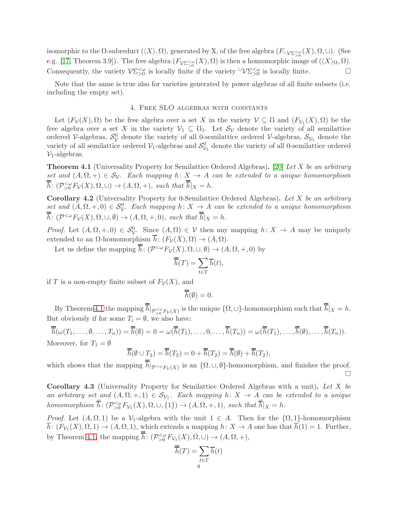isomorphic to the  $\Omega$ -subreduct  $(\langle X \rangle, \Omega)$ , generated by X, of the free algebra  $(F \cup_{\mathcal{V} \Sigma > 0}^{\leq \omega} (X), \Omega, \cup)$ . (See e.g. [\[17,](#page-13-2) Theorem 3.9]). The free algebra  $(F_{\mathcal{V}\Sigma_{>0}^{\le\omega}}(X), \Omega)$  is then a homomorphic image of  $(\langle X \rangle_{\Omega}, \Omega)$ . Consequently, the variety  $\mathcal{V}\Sigma_{>0}^{\lt}\omega$  is locally finite if the variety  $\cup \mathcal{V}\Sigma_{>0}^{\lt}\omega$  is locally finite.

<span id="page-7-0"></span>Note that the same is true also for varieties generated by power algebras of all finite subsets (i.e. including the empty set).

# 4. Free SLO algebras with constants

Let  $(F_{\mathcal{V}}(X), \Omega)$  be the free algebra over a set X in the variety  $\mathcal{V} \subseteq \mathcal{V}$  and  $(F_{\mathcal{V}_1}(X), \Omega)$  be the free algebra over a set X in the variety  $V_1 \subseteq U_1$ . Let  $S_V$  denote the variety of all semilattice ordered V-algebras,  $S_{\mathcal{V}}^0$  denote the variety of all 0-semilattice ordered V-algebras,  $S_{\mathcal{V}_1}$  denote the variety of all semilattice ordered  $V_1$ -algebras and  $S_{V_1}^0$  denote the variety of all 0-semilattice ordered  $\mathcal{V}_1$ -algebras.

<span id="page-7-1"></span>**Theorem 4.1** (Universality Property for Semilattice Ordered Algebras). [\[20\]](#page-13-7) Let X be an arbitrary set and  $(A, \Omega, +) \in S_{\mathcal{V}}$ . Each mapping  $h: X \to A$  can be extended to a unique homomorphism  $\overline{h}$ :  $(\mathcal{P}_{>0}^{<\omega} F_{\mathcal{V}}(X), \Omega, \cup) \to (A, \Omega, +)$ , such that  $\overline{h}|_X = h$ .

<span id="page-7-2"></span>Corollary 4.2 (Universality Property for 0-Semilattice Ordered Algebras). Let X be an arbitrary set and  $(A, \Omega, +, 0) \in S^0_{\mathcal{V}}$ . Each mapping  $h: X \to A$  can be extended to a unique homomorphism  $\overline{h}$ :  $(\mathcal{P}^{\leq \omega} F_{\mathcal{V}}(X), \Omega, \cup, \emptyset) \to (A, \Omega, +, 0)$ , such that  $\overline{h}|_X = h$ .

*Proof.* Let  $(A, \Omega, +, 0) \in S_{\mathcal{V}}^0$ . Since  $(A, \Omega) \in \mathcal{V}$  then any mapping  $h: X \to A$  may be uniquely extended to an  $\Omega$ -homomorphism  $\overline{h}: (F_{\mathcal{V}}(X), \Omega) \to (A, \Omega)$ .

Let us define the mapping  $\overline{h}$ :  $(\mathcal{P}^{<\omega} F_{\mathcal{V}}(X), \Omega, \cup, \emptyset) \to (A, \Omega, +, 0)$  by

$$
\overline{\overline{h}}(T) = \sum_{t \in T} \overline{h}(t),
$$

if T is a non-empty finite subset of  $F_{\mathcal{V}}(X)$ , and

$$
\overline{h}(\emptyset) = 0.
$$

By Theorem [4.1](#page-7-1) the mapping  $h|_{\mathcal{P}^{\leq \omega}_{>0}F_{\mathcal{V}}(X)}$  is the unique  $\{\Omega, \cup\}$ -homomorphism such that  $h|_X = h$ . But obviously if for some  $T_i = \emptyset$ , we also have:

 $\overline{\overline{h}}(\omega(T_1,\ldots,\emptyset,\ldots,T_n)) = \overline{\overline{h}}(\emptyset) = 0 = \omega(\overline{\overline{h}}(T_1),\ldots,0,\ldots,\overline{\overline{h}}(T_n)) = \omega(\overline{\overline{h}}(T_1),\ldots,\overline{\overline{h}}(\emptyset),\ldots,\overline{\overline{h}}(T_n)).$ Moreover, for  $T_1 = \emptyset$ 

$$
\overline{\overline{h}}(\emptyset \cup T_2) = \overline{\overline{h}}(T_2) = 0 + \overline{\overline{h}}(T_2) = \overline{\overline{h}}(\emptyset) + \overline{\overline{h}}(T_2),
$$

which shows that the mapping  $h|_{\mathcal{P}^{<\omega}F_v(X)}$  is an  $\{\Omega,\cup,\emptyset\}$ -homomorphism, and finishes the proof.  $\Box$ 

<span id="page-7-3"></span>Corollary 4.3 (Universality Property for Semilattice Ordered Algebras with a unit). Let X be an arbitrary set and  $(A, \Omega, +, 1) \in S_{\mathcal{V}_1}$ . Each mapping  $h: X \to A$  can be extended to a unique homomorphism  $\overline{h}$ :  $(\mathcal{P}_{>0}^{&\omega}F_{\mathcal{V}_1}(X), \Omega, \cup, \{1\}) \to (A, \Omega, +, 1)$ , such that  $\overline{h}|_X = h$ .

*Proof.* Let  $(A, \Omega, 1)$  be a  $\mathcal{V}_1$ -algebra with the unit  $1 \in A$ . Then for the  $\{\Omega, 1\}$ -homomorphism  $h: (F_{\mathcal{V}_1}(X), \Omega, 1) \to (A, \Omega, 1)$ , which extends a mapping  $h: X \to A$  one has that  $h(1) = 1$ . Further, by Theorem [4.1,](#page-7-1) the mapping  $\overline{h}$ :  $(\mathcal{P}_{>0}^{<\omega} F_{\mathcal{V}_1}(X), \Omega, \cup) \to (A, \Omega, +),$ 

$$
\overline{\overline{h}}(T) = \sum_{\substack{t \in T \\ 8}} \overline{h}(t)
$$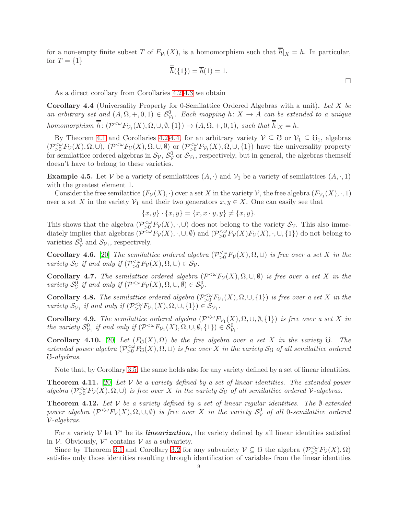for a non-empty finite subset T of  $F_{\mathcal{V}_1}(X)$ , is a homomorphism such that  $h|_X = h$ . In particular, for  $T = \{1\}$ 

$$
\overline{h}(\{1\}) = \overline{h}(1) = 1.
$$

As a direct corollary from Corollaries [4.2](#page-7-2)[-4.3](#page-7-3) we obtain

<span id="page-8-0"></span>Corollary 4.4 (Universality Property for 0-Semilattice Ordered Algebras with a unit). Let X be an arbitrary set and  $(A, \Omega, +, 0, 1) \in S_{\mathcal{V}_1}^0$ . Each mapping  $h: X \to A$  can be extended to a unique homomorphism  $\overline{h}$ :  $(\mathcal{P}^{<\omega} F_{\mathcal{V}_1}(X), \Omega, \cup, \emptyset, \{1\}) \to (A, \Omega, +, 0, 1)$ , such that  $\overline{h}|_X = h$ .

By Theorem [4.1](#page-7-1) and Corollaries [4.2](#page-7-2)[-4.4,](#page-8-0) for an arbitrary variety  $\mathcal{V} \subseteq \mathcal{V}$  or  $\mathcal{V}_1 \subseteq \mathcal{V}_1$ , algebras  $(\mathcal{P}_{>0}^{&\omega} F_{\mathcal{V}}(X), \Omega, \cup), (\mathcal{P}^{&\omega} F_{\mathcal{V}}(X), \Omega, \cup, \emptyset)$  or  $(\mathcal{P}_{>0}^{&\omega} F_{\mathcal{V}_1}(X), \Omega, \cup, \{1\})$  have the universality property for semilattice ordered algebras in  $S_V$ ,  $S_V^0$  or  $S_{V_1}$ , respectively, but in general, the algebras themself doesn't have to belong to these varieties.

**Example 4.5.** Let V be a variety of semilattices  $(A, \cdot)$  and  $V_1$  be a variety of semilattices  $(A, \cdot, 1)$ with the greatest element 1.

Consider the free semilattice  $(F_{\mathcal{V}}(X), \cdot)$  over a set X in the variety V, the free algebra  $(F_{\mathcal{V}_1}(X), \cdot, 1)$ over a set X in the variety  $\mathcal{V}_1$  and their two generators  $x, y \in X$ . One can easily see that

$$
\{x, y\} \cdot \{x, y\} = \{x, x \cdot y, y\} \neq \{x, y\}.
$$

This shows that the algebra  $(\mathcal{P}_{>0}^{<\omega} F_{\mathcal{V}}(X), \cdot, \cup)$  does not belong to the variety  $\mathcal{S}_{\mathcal{V}}$ . This also immediately implies that algebras  $(\mathcal{P}^{<\omega}F_{\mathcal{V}}(X), \cdot, \cup, \emptyset)$  and  $(\mathcal{P}^{<\omega}_{>0}F_{\mathcal{V}}(X)F_{\mathcal{V}}(X), \cdot, \cup, \{1\})$  do not belong to varieties  $S_{\mathcal{V}}^0$  and  $S_{\mathcal{V}_1}$ , respectively.

**Corollary 4.6.** [\[20\]](#page-13-7) The semilattice ordered algebra  $(\mathcal{P}_{>0}^{<\omega} F_{\mathcal{V}}(X), \Omega, \cup)$  is free over a set X in the variety  $S_{\mathcal{V}}$  if and only if  $(\mathcal{P}_{>0}^{<\omega} F_{\mathcal{V}}(X), \Omega, \cup) \in S_{\mathcal{V}}$ .

**Corollary 4.7.** The semilattice ordered algebra  $(\mathcal{P}^{\leq \omega} F_{\mathcal{V}}(X), \Omega, \cup, \emptyset)$  is free over a set X in the variety  $S_V^0$  if and only if  $(\mathcal{P}^{<\omega} F_V(X), \Omega, \cup, \emptyset) \in S_V^0$ .

**Corollary 4.8.** The semilattice ordered algebra  $(\mathcal{P}_{>0}^{<\omega}F_{\mathcal{V}_1}(X), \Omega, \cup, \{1\})$  is free over a set X in the variety  $S_{\mathcal{V}_1}$  if and only if  $(\mathcal{P}_{>0}^{<\omega} F_{\mathcal{V}_1}(X), \Omega, \cup, \{1\}) \in S_{\mathcal{V}_1}$ .

**Corollary 4.9.** The semilattice ordered algebra  $(\mathcal{P}^{\leq \omega} F_{\mathcal{V}_1}(X), \Omega, \cup, \emptyset, \{1\})$  is free over a set X in the variety  $\mathcal{S}_{\mathcal{V}_1}^0$  if and only if  $(\mathcal{P}^{<\omega}F_{\mathcal{V}_1}(X), \Omega, \cup, \emptyset, \{1\}) \in \mathcal{S}_{\mathcal{V}_1}^0$ .

Corollary 4.10. [\[20\]](#page-13-7) Let  $(F_{\mathfrak{S}}(X), \Omega)$  be the free algebra over a set X in the variety  $\mathfrak{S}$ . The extended power algebra  $(\mathcal{P}_{>0}^{&\omega}F_{\mathcal{O}}(X),\Omega,\cup)$  is free over X in the variety  $\mathcal{S}_{\mathcal{O}}$  of all semilattice ordered ✵-algebras.

Note that, by Corollary [3.5,](#page-4-1) the same holds also for any variety defined by a set of linear identities.

<span id="page-8-1"></span>**Theorem 4.11.** [\[20\]](#page-13-7) Let V be a variety defined by a set of linear identities. The extended power algebra  $(\mathcal{P}_{>0}^{<\omega} F_{\mathcal{V}}(X), \Omega, \cup)$  is free over X in the variety  $\mathcal{S}_{\mathcal{V}}$  of all semilattice ordered V-algebras.

**Theorem 4.12.** Let V be a variety defined by a set of linear regular identities. The  $\emptyset$ -extended power algebra  $(\mathcal{P}^{< \omega} F_{\mathcal{V}}(X), \Omega, \cup, \emptyset)$  is free over X in the variety  $\mathcal{S}_{\mathcal{V}}^0$  of all 0-semilattice ordered  $\mathcal{V}\text{-}algebras.$ 

For a variety  $V$  let  $V^*$  be its *linearization*, the variety defined by all linear identities satisfied in  $\mathcal V$ . Obviously,  $\mathcal V^*$  contains  $\mathcal V$  as a subvariety.

Since by Theorem [3.1](#page-4-2) and Corollary [3.2](#page-4-3) for any subvariety  $\mathcal{V} \subseteq \mathcal{V}$  the algebra  $(\mathcal{P}_{>0}^{<\omega}F_{\mathcal{V}}(X),\Omega)$ satisfies only those identities resulting through identification of variables from the linear identities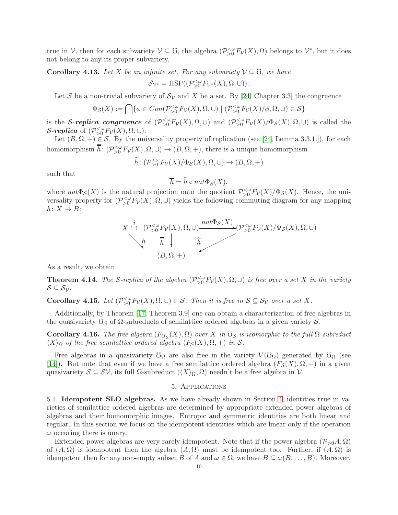true in  $V$ , then for each subvariety  $V \subseteq U$ , the algebra  $(\mathcal{P}_{>0}^{<\omega} F_{\mathcal{V}}(X), \Omega)$  belongs to  $\mathcal{V}^*$ , but it does not belong to any its proper subvariety.

Corollary 4.13. Let X be an infinite set. For any subvariety  $V \subseteq U$ , we have

$$
\mathcal{S}_{\mathcal{V}^*} = \text{HSP}((\mathcal{P}_{>0}^{<\omega} F_{\mathcal{V}^*}(X), \Omega, \cup)).
$$

Let S be a non-trivial subvariety of  $\mathcal{S}_{\mathcal{V}}$  and X be a set. By [\[24,](#page-13-17) Chapter 3.3] the congruence

$$
\Phi_{\mathcal{S}}(X) := \bigcap \{ \phi \in Con(\mathcal{P}_{>0}^{&\omega} F_{\mathcal{V}}(X), \Omega, \cup) \mid (\mathcal{P}_{>0}^{&\omega} F_{\mathcal{V}}(X) / \phi, \Omega, \cup) \in \mathcal{S} \}
$$

is the S-replica congruence of  $(\mathcal{P}_{>0}^{&\omega}F_{\mathcal{V}}(X),\Omega,\cup)$  and  $(\mathcal{P}_{>0}^{&\omega}F_{\mathcal{V}}(X)/\Phi_{\mathcal{S}}(X),\Omega,\cup)$  is called the S-replica of  $(\mathcal{P}_{>0}^{<\omega}F_{\mathcal{V}}(X),\Omega,\cup).$ 

Let  $(B, \Omega, +) \in \mathcal{S}$ . By the universality property of replication (see [\[24,](#page-13-17) Lemma 3.3.1.]), for each homomorphism  $\overline{h}$ :  $(\mathcal{P}_{>0}^{&\omega} F_{\mathcal{V}}(X), \Omega, \cup) \to (B, \Omega, +)$ , there is a unique homomorphism

$$
\widehat{h} \colon (\mathcal{P}_{>0}^{<\omega} F_{\mathcal{V}}(X)/\Phi_{\mathcal{S}}(X), \Omega, \cup) \to (B, \Omega, +)
$$

such that

$$
\overline{h} = \widehat{h} \circ nat\Phi_{\mathcal{S}}(X),
$$

where  $nat\Phi_{\mathcal{S}}(X)$  is the natural projection onto the quotient  $\mathcal{P}_{>0}^{<\omega}F_{\mathcal{V}}(X)/\Phi_{\mathcal{S}}(X)$ . Hence, the universality property for  $(\mathcal{P}_{>0}^{<\omega} F_{\mathcal{V}}(X), \Omega, \cup)$  yields the following commuting diagram for any mapping  $h\colon X\to B$ :



As a result, we obtain

<span id="page-9-0"></span>**Theorem 4.14.** The S-replica of the algebra  $(\mathcal{P}_{>0}^{<\omega} F_{\mathcal{V}}(X), \Omega, \cup)$  is free over a set X in the variety  $S \subseteq S_{\mathcal{V}}$ .

**Corollary 4.15.** Let  $(\mathcal{P}_{>0}^{&\omega} F_{\mathcal{V}}(X), \Omega, \cup) \in \mathcal{S}$ . Then it is free in  $\mathcal{S} \subseteq \mathcal{S}_{\mathcal{V}}$  over a set X.

Additionally, by Theorem [\[17,](#page-13-2) Theorem 3.9] one can obtain a characterization of free algebras in the quasivariety  $\mathcal{O}_{\mathcal{S}}$  of  $\Omega$ -subreducts of semilattice ordered algebras in a given variety  $\mathcal{S}$ .

Corollary 4.16. The free algebra  $(F_{\mathcal{O}_{\mathcal{S}}}(X), \Omega)$  over X in  $\mathcal{O}_{\mathcal{S}}$  is isomorphic to the full  $\Omega$ -subreduct  $\langle X \rangle_{\Omega}$  of the free semilattice ordered algebra  $(F_{\mathcal{S}}(X), \Omega, +)$  in S.

Free algebras in a quasivariety  $\mathcal{U}_{\Omega}$  are also free in the variety  $V(\mathcal{U}_{\Omega})$  generated by  $\mathcal{U}_{\Omega}$  (see [\[14\]](#page-13-20)). But note that even if we have a free semilattice ordered algebra  $(F_{\mathcal{S}}(X), \Omega, +)$  in a given quasivariety  $S \subseteq S\mathcal{V}$ , its full  $\Omega$ -subreduct  $(\langle X \rangle_{\Omega}, \Omega)$  needn't be a free algebra in  $\mathcal{V}$ .

# 5. Applications

5.1. Idempotent SLO algebras. As we have already shown in Section [4,](#page-7-0) identities true in varieties of semilattice ordered algebras are determined by appropriate extended power algebras of algebras and their homomorphic images. Entropic and symmetric identities are both linear and regular. In this section we focus on the idempotent identities which are linear only if the operation  $\omega$  occuring there is unary.

Extended power algebras are very rarely idempotent. Note that if the power algebra  $(\mathcal{P}_{>0}A,\Omega)$ of  $(A, \Omega)$  is idempotent then the algebra  $(A, \Omega)$  must be idempotent too. Further, if  $(A, \Omega)$  is idempotent then for any non-empty subset B of A and  $\omega \in \Omega$ , we have  $B \subseteq \omega(B, \ldots, B)$ . Moreover,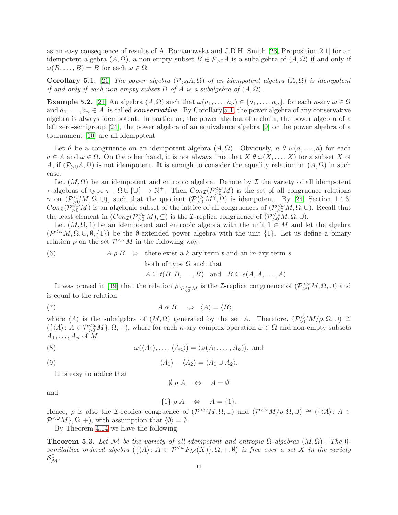as an easy consequence of results of A. Romanowska and J.D.H. Smith [\[23,](#page-13-21) Proposition 2.1] for an idempotent algebra  $(A, \Omega)$ , a non-empty subset  $B \in \mathcal{P}_{\geq 0}A$  is a subalgebra of  $(A, \Omega)$  if and only if  $\omega(B,\ldots,B)=B$  for each  $\omega\in\Omega$ .

<span id="page-10-0"></span>**Corollary 5.1.** [\[21\]](#page-13-3) The power algebra  $(\mathcal{P}_{>0}A, \Omega)$  of an idempotent algebra  $(A, \Omega)$  is idempotent if and only if each non-empty subset B of A is a subalgebra of  $(A, \Omega)$ .

**Example 5.2.** [\[21\]](#page-13-3) An algebra  $(A, \Omega)$  such that  $\omega(a_1, \ldots, a_n) \in \{a_1, \ldots, a_n\}$ , for each n-ary  $\omega \in \Omega$ and  $a_1, \ldots, a_n \in A$ , is called *conservative*. By Corollary [5.1,](#page-10-0) the power algebra of any conservative algebra is always idempotent. In particular, the power algebra of a chain, the power algebra of a left zero-semigroup [\[24\]](#page-13-17), the power algebra of an equivalence algebra [\[9\]](#page-13-22) or the power algebra of a tournament [\[10\]](#page-13-23) are all idempotent.

Let  $\theta$  be a congruence on an idempotent algebra  $(A, \Omega)$ . Obviously,  $a \theta \omega(a, \ldots, a)$  for each  $a \in A$  and  $\omega \in \Omega$ . On the other hand, it is not always true that  $X \theta \omega(X, \ldots, X)$  for a subset X of A, if  $(\mathcal{P}_{>0}A,\Omega)$  is not idempotent. It is enough to consider the equality relation on  $(A,\Omega)$  in such case.

Let  $(M, \Omega)$  be an idempotent and entropic algebra. Denote by  $\mathcal I$  the variety of all idempotent  $τ$ -algebras of type  $τ : Ω ∪ {∪} \rightarrow N<sup>+</sup>$ . Then  $Con_{\mathcal{I}}(P_{>0}^{\ltq \omega} M)$  is the set of all congruence relations  $\gamma$  on  $(\mathcal{P}_{\geq 0}^{\leq \omega} M, \Omega, \cup)$ , such that the quotient  $(\mathcal{P}_{\geq 0}^{\leq \omega} M^{\gamma}, \Omega)$  is idempotent. By [\[24,](#page-13-17) Section 1.4.3]  $Con_{\mathcal{I}}(\mathcal{P}_{>0}^{&\omega}M)$  is an algebraic subset of the lattice of all congruences of  $(\mathcal{P}_{>0}^{&\omega}M,\Omega,\cup)$ . Recall that the least element in  $(Con_{\mathcal{I}}(\mathcal{P}_{>0}^{&\omega}M), \subseteq)$  is the *I*-replica congruence of  $(\mathcal{P}_{>0}^{&\omega}M, \Omega, \cup)$ .

Let  $(M, \Omega, 1)$  be an idempotent and entropic algebra with the unit  $1 \in M$  and let the algebra  $(\mathcal{P}^{\leq \omega}M, \Omega, \cup, \emptyset, \{1\})$  be the Ø-extended power algebra with the unit  $\{1\}$ . Let us define a binary relation  $\rho$  on the set  $\mathcal{P}^{<\omega}M$  in the following way:

(6)  $A \rho B \Leftrightarrow$  there exist a k-ary term t and an m-ary term s both of type  $\Omega$  such that

 $A \subseteq t(B, B, \ldots, B)$  and  $B \subseteq s(A, A, \ldots, A)$ .

It was proved in [\[19\]](#page-13-19) that the relation  $\rho|_{\mathcal{P}^{<\omega}_{\leq 0}M}$  is the *I*-replica congruence of  $(\mathcal{P}^{<\omega}_{>0}M, \Omega, \cup)$  and is equal to the relation:

(7)  $A \alpha B \Leftrightarrow \langle A \rangle = \langle B \rangle,$ 

where  $\langle A \rangle$  is the subalgebra of  $(M, \Omega)$  generated by the set A. Therefore,  $(\mathcal{P}_{>0}^{<\omega} M/\rho, \Omega, \cup) \cong$  $({\{\langle A \rangle: A \in \mathcal{P}_{>0}^{\leq \omega} M\}, \Omega, +),$  where for each *n*-ary complex operation  $\omega \in \Omega$  and non-empty subsets  $A_1, \ldots, A_n$  of M

(8) 
$$
\omega(\langle A_1 \rangle, \dots, \langle A_n \rangle) = \langle \omega(A_1, \dots, A_n) \rangle, \text{ and}
$$

(9) 
$$
\langle A_1 \rangle + \langle A_2 \rangle = \langle A_1 \cup A_2 \rangle.
$$

It is easy to notice that

 $\emptyset \rho A \Leftrightarrow A = \emptyset$ 

and

$$
\{1\} \rho A \quad \Leftrightarrow \quad A = \{1\}.
$$

Hence,  $\rho$  is also the *I*-replica congruence of  $(\mathcal{P}^{\leq \omega}M,\Omega,\cup)$  and  $(\mathcal{P}^{\leq \omega}M/\rho,\Omega,\cup) \cong (\{\langle A \rangle : A \in$  $\mathcal{P}^{<\omega}M\},\Omega,+),$  with assumption that  $\langle\emptyset\rangle=\emptyset$ .

By Theorem [4.14](#page-9-0) we have the following

**Theorem 5.3.** Let M be the variety of all idempotent and entropic  $\Omega$ -algebras  $(M, \Omega)$ . The 0semilattice ordered algebra  $({\{\langle A \rangle: A \in \mathcal{P}^{\leq \omega}F_{\mathcal{M}}(X)\}, \Omega, +, \emptyset})$  is free over a set X in the variety  $\mathcal{S}_{\mathcal{M}}^{0}.$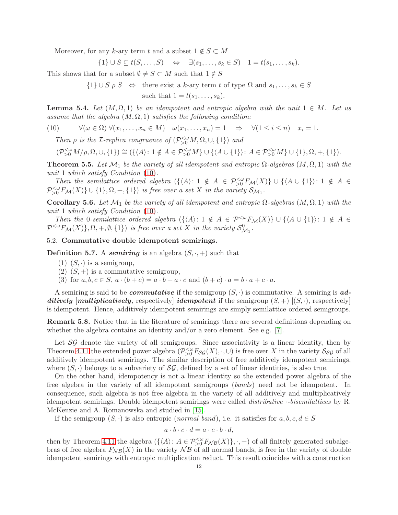Moreover, for any k-ary term t and a subset  $1 \notin S \subset M$ 

$$
\{1\} \cup S \subseteq t(S, \ldots, S) \quad \Leftrightarrow \quad \exists (s_1, \ldots, s_k \in S) \quad 1 = t(s_1, \ldots, s_k).
$$

This shows that for a subset  $\emptyset \neq S \subset M$  such that  $1 \notin S$ 

 ${1} \cup S \rho S \Leftrightarrow$  there exist a k-ary term t of type  $\Omega$  and  $s_1, \ldots, s_k \in S$ such that  $1 = t(s_1, ..., s_k)$ .

**Lemma 5.4.** Let  $(M, \Omega, 1)$  be an idempotent and entropic algebra with the unit  $1 \in M$ . Let us assume that the algebra  $(M, \Omega, 1)$  satisfies the following condition:

<span id="page-11-0"></span>(10)  $\forall (\omega \in \Omega) \; \forall (x_1, \ldots, x_n \in M) \; \omega(x_1, \ldots, x_n) = 1 \Rightarrow \forall (1 \leq i \leq n) \; x_i = 1.$ 

Then  $\rho$  is the *I*-replica congruence of  $(\mathcal{P}_{>0}^{<\omega}M, \Omega, \cup, \{1\})$  and

$$
(\mathcal{P}_{>0}^{\leq \omega} M/\rho,\Omega,\cup, \{1\}) \cong (\{\langle A \rangle\colon 1\notin A \in \mathcal{P}_{>0}^{\leq \omega} M\} \cup \{\langle A \cup \{1\} \rangle\colon A \in \mathcal{P}_{>0}^{\leq \omega} M\} \cup \{1\},\Omega,+,\{1\}).
$$

**Theorem 5.5.** Let  $\mathcal{M}_1$  be the variety of all idempotent and entropic  $\Omega$ -algebras  $(M, \Omega, 1)$  with the unit 1 which satisfy Condition [\(10\)](#page-11-0).

Then the semilattice ordered algebra  $({\{\langle A \rangle: 1 \notin A \in \mathcal{P}_{>0}^{<\omega}F_{\mathcal{M}}(X)\} \cup {\{\langle A \cup \{1\} \rangle: 1 \notin A \in \mathcal{P}_{\mathcal{P}_{\mathcal{N}}(X)\} \cup \{\langle A \cup \{1\} \rangle: 1 \notin A \in \mathcal{P}_{\mathcal{P}_{\mathcal{N}}(X)\} \cup \{\langle A \cup \{1\} \rangle: 1 \notin A \in \mathcal{P}_{\mathcal{P}_{\mathcal{N}}(X)\} \cup \{\langle A$  $\mathcal{P}_{>0}^{\lt \omega} F_{\mathcal{M}}(X) \} \cup \{1\}, \Omega, +, \{1\})$  is free over a set X in the variety  $\mathcal{S}_{\mathcal{M}_1}$ .

<span id="page-11-1"></span>**Corollary 5.6.** Let  $\mathcal{M}_1$  be the variety of all idempotent and entropic  $\Omega$ -algebras  $(M, \Omega, 1)$  with the unit 1 which satisfy Condition [\(10\)](#page-11-0).

Then the 0-semilattice ordered algebra  $({\{\langle A \rangle : 1 \notin A \in \mathcal{P}^{&\omega}F_{\mathcal{M}}(X)\} \cup {\{\langle A \cup \{1\} \rangle : 1 \notin A \in \mathcal{P}^{&\omega}F_{\mathcal{M}}(X)\}\cup \{\langle A \cup \{1\} \rangle : 1 \notin A \in \mathcal{P}^{&\omega}F_{\mathcal{M}}(X)\}$  $\mathcal{P}^{&\omega}F_{\mathcal{M}}(X)\},\Omega,+,\emptyset,\{1\})$  is free over a set X in the variety  $\mathcal{S}^0_{\mathcal{M}_1}$ .

# 5.2. Commutative double idempotent semirings.

**Definition 5.7.** A semiring is an algebra  $(S, \cdot, +)$  such that

- (1)  $(S, \cdot)$  is a semigroup,
- (2)  $(S,+)$  is a commutative semigroup,
- (3) for  $a, b, c \in S$ ,  $a \cdot (b + c) = a \cdot b + a \cdot c$  and  $(b + c) \cdot a = b \cdot a + c \cdot a$ .

A semiring is said to be *commutative* if the semigroup  $(S, \cdot)$  is commutative. A semiring is **ad**ditively  $[multiplicatively, respectively]$  idempotent if the semigroup  $(S,+)$   $[(S, \cdot),$  respectively] is idempotent. Hence, additively idempotent semirings are simply semilattice ordered semigroups.

Remark 5.8. Notice that in the literature of semirings there are several definitions depending on whether the algebra contains an identity and/or a zero element. See e.g. [\[7\]](#page-13-5).

Let  $\mathcal{SG}$  denote the variety of all semigroups. Since associativity is a linear identity, then by Theorem [4.11](#page-8-1) the extended power algebra  $(\mathcal{P}_{>0}^{<\omega} F_{\mathcal{SG}}(X), \cdot, \cup)$  is free over X in the variety  $\mathcal{S}_{\mathcal{SG}}$  of all additively idempotent semirings. The similar description of free additively idempotent semirings, where  $(S, \cdot)$  belongs to a subvariety of  $\mathcal{SG}$ , defined by a set of linear identities, is also true.

On the other hand, idempotency is not a linear identity so the extended power algebra of the free algebra in the variety of all idempotent semigroups (bands) need not be idempotent. In consequence, such algebra is not free algebra in the variety of all additively and multiplicatively idempotent semirings. Double idempotent semirings were called distributive ·-bisemilattices by R. McKenzie and A. Romanowska and studied in [\[15\]](#page-13-13).

If the semigroup  $(S, \cdot)$  is also entropic (*normal band*), i.e. it satisfies for  $a, b, c, d \in S$ 

$$
a \cdot b \cdot c \cdot d = a \cdot c \cdot b \cdot d,
$$

then by Theorem [4.11](#page-8-1) the algebra  $({\{\langle A \rangle: A \in \mathcal{P}_{>0}^{<\omega}F_{\mathcal{NB}}(X)\}, \cdot, +)}$  of all finitely generated subalgebras of free algebra  $F_{\mathcal{N}\mathcal{B}}(X)$  in the variety  $\mathcal{N}\mathcal{B}$  of all normal bands, is free in the variety of double idempotent semirings with entropic multiplication reduct. This result coincides with a construction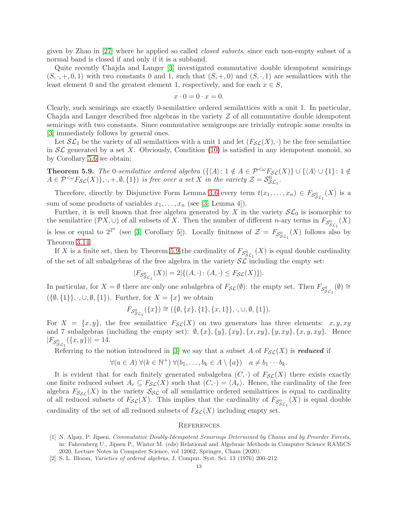given by Zhao in [\[27\]](#page-13-6) where he applied so called closed subsets, since each non-empty subset of a normal band is closed if and only if it is a subband.

Quite recently Chajda and Langer [\[3\]](#page-13-4) investigated commutative double idempotent semirings  $(S, \cdot, +, 0, 1)$  with two constants 0 and 1, such that  $(S, +, 0)$  and  $(S, \cdot, 1)$  are semilattices with the least element 0 and the greatest element 1, respectively, and for each  $x \in S$ ,

$$
x \cdot 0 = 0 \cdot x = 0.
$$

Clearly, such semirings are exactly 0-semilattice ordered semilattices with a unit 1. In particular, Chajda and Langer described free algebras in the variety  $\mathcal Z$  of all commutative double idempotent semirings with two constants. Since commutative semigroups are trivially entropic some results in [\[3\]](#page-13-4) immediately follows by general ones.

Let  $\mathcal{SL}_1$  be the variety of all semilattices with a unit 1 and let  $(F_{\mathcal{SL}}(X), \cdot)$  be the free semilattice in  $\mathcal{SL}$  generated by a set X. Obviously, Condition [\(10\)](#page-11-0) is satisfied in any idempotent monoid, so by Corollary [5.6](#page-11-1) we obtain:

<span id="page-12-2"></span>**Theorem 5.9.** The 0-semilattice ordered algebra  $({\{\langle A \rangle : 1 \notin A \in \mathcal{P}^{\leq \omega}F_{\mathcal{SL}}(X)\} \cup {\{\langle A \rangle \cup \{1\} : 1 \notin \mathcal{A} \cup \{1\} \cup \{\langle A \rangle \cup \{1\} \cup \{\langle A \rangle \cup \{1\} \cup \{\langle A \rangle \cup \{\langle A \rangle \cup \{\langle A \rangle \cup \{\langle A \rangle \cup \{\langle A \rangle \cup \{\langle A \rangle \cup \{\langle A \rangle \cup \{\langle A \rangle \cup \{\$  $A \in \mathcal{P}^{<\omega} F_{\mathcal{SL}}(X)\}, \cdot, +, \emptyset, \{1\})$  is free over a set X in the variety  $\mathcal{Z} = \mathcal{S}_{\mathcal{SL}_1}^0$ .

Therefore, directly by Disjunctive Form Lemma [3.6](#page-4-0) every term  $t(x_1, \ldots, x_n) \in F_{S^0_{SL_1}}(X)$  is a sum of some products of variables  $x_1, \ldots, x_n$  (see [\[3,](#page-13-4) Lemma 4]).

Further, it is well known that free algebra generated by X in the variety  $\mathcal{SL}_0$  is isomorphic to the semilattice  $(\mathcal{P}X,\cup)$  of all subsets of X. Then the number of different *n*-ary terms in  $F_{\mathcal{S}_{\mathcal{S}\mathcal{L}_1}^0}(X)$ is less or equal to  $2^{2^n}$  (see [\[3,](#page-13-4) Corollary 5]). Locally finitness of  $\mathcal{Z} = F_{\mathcal{S}_{SL_1}^0}(X)$  follows also by Theorem [3.14.](#page-6-1)

If X is a finite set, then by Theorem [5.9](#page-12-2) the cardinality of  $F_{S_{SL_1}^0}(X)$  is equal double cardinality of the set of all subalgebras of the free algebra in the variety  $\mathcal{SL}$  including the empty set:

$$
|F_{\mathcal{S}_{\mathcal{S}_{\mathcal{L}_{1}}}^{0}}(X)| = 2|\{(A, \cdot) \colon (A, \cdot) \leq F_{\mathcal{S}_{\mathcal{L}}}(X)\}|.
$$

In particular, for  $X = \emptyset$  there are only one subalgebra of  $F_{\mathcal{SL}}(\emptyset)$ : the empty set. Then  $F_{\mathcal{S}_{\mathcal{SL}_1}^0}(\emptyset) \cong$  $(\{\emptyset, \{1\}\}, \cdot, \cup, \emptyset, \{1\})$ . Further, for  $X = \{x\}$  we obtain

$$
F_{\mathcal{S}_{\mathcal{S}_{\mathcal{L}_{1}}}^{0}}(\{x\}) \cong (\{\emptyset, \{x\}, \{1\}, \{x, 1\}\}, \cdot, \cup, \emptyset, \{1\}).
$$

For  $X = \{x, y\}$ , the free semilattice  $F_{\mathcal{SL}}(X)$  on two generators has three elements:  $x, y, xy$ and 7 subalgebras (including the empty set):  $\emptyset$ ,  $\{x\}$ ,  $\{y\}$ ,  $\{xy\}$ ,  $\{x, xy\}$ ,  $\{y, xy\}$ . Hence  $|F_{\mathcal{S}_{\mathcal{SL}_1}^0}(\{x,y\})|=14.$ 

Referring to the notion introduced in [\[3\]](#page-13-4) we say that a subset A of  $F_{\mathcal{SL}}(X)$  is **reduced** if

$$
\forall (a \in A) \ \forall (k \in \mathbb{N}^+) \ \forall (b_1, \dots, b_k \in A \setminus \{a\}) \quad a \neq b_1 \cdots b_k.
$$

It is evident that for each finitely generated subalgebra  $(C, \cdot)$  of  $F_{\mathcal{SL}}(X)$  there exists exactly one finite reduced subset  $A_r \subseteq F_{\mathcal{SL}}(X)$  such that  $(C, \cdot) = \langle A_r \rangle$ . Hence, the cardinality of the free algebra  $F_{\mathcal{S}_{\mathcal{S}\mathcal{L}}}(X)$  in the variety  $\mathcal{S}_{\mathcal{S}\mathcal{L}}$  of all semilattice ordered semilattices is equal to cardinality of all reduced subsets of  $F_{\mathcal{SL}}(X)$ . This implies that the cardinality of  $F_{\mathcal{S}_{\mathcal{SL}_1}^0}(X)$  is equal double cardinality of the set of all reduced subsets of  $F_{\mathcal{SL}}(X)$  including empty set.

#### **REFERENCES**

- <span id="page-12-0"></span>[1] N. Alpay, P. Jipsen, *Commutative Doubly-Idempotent Semirings Determined by Chains and by Preorder Forests*, in: Fahrenberg U., Jipsen P., Winter M. (eds) Relational and Algebraic Methods in Computer Science RAMiCS 2020, Lecture Notes in Computer Science, vol 12062, Springer, Cham (2020).
- <span id="page-12-1"></span>[2] S. L. Bloom, *Varieties of ordered algebras*, J. Comput. Syst. Sci. 13 (1976) 200–212.